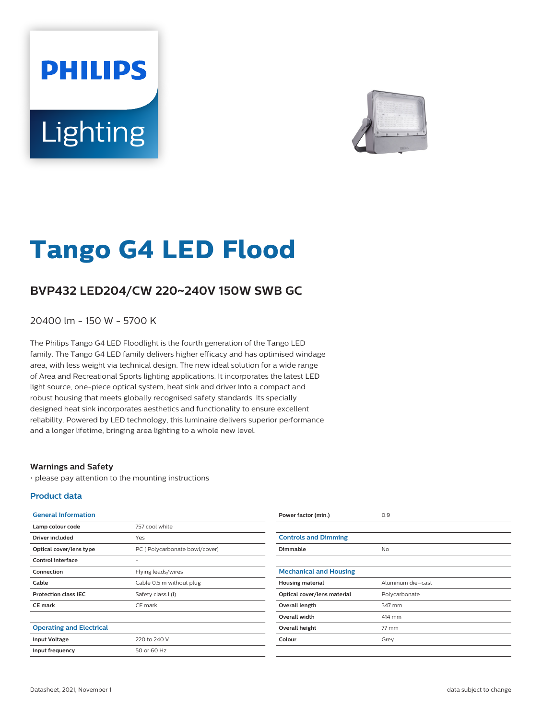# **PHILIPS** Lighting



# **Tango G4 LED Flood**

## **BVP432 LED204/CW 220**~**240V 150W SWB GC**

20400 lm - 150 W - 5700 K

The Philips Tango G4 LED Floodlight is the fourth generation of the Tango LED family. The Tango G4 LED family delivers higher efficacy and has optimised windage area, with less weight via technical design. The new ideal solution for a wide range of Area and Recreational Sports lighting applications. It incorporates the latest LED light source, one-piece optical system, heat sink and driver into a compact and robust housing that meets globally recognised safety standards. Its specially designed heat sink incorporates aesthetics and functionality to ensure excellent reliability. Powered by LED technology, this luminaire delivers superior performance and a longer lifetime, bringing area lighting to a whole new level.

#### **Warnings and Safety**

• please pay attention to the mounting instructions

#### **Product data**

| <b>General Information</b>      |                                | Power factor (min.)           | 0.9               |
|---------------------------------|--------------------------------|-------------------------------|-------------------|
| Lamp colour code                | 757 cool white                 |                               |                   |
| <b>Driver included</b>          | Yes                            | <b>Controls and Dimming</b>   |                   |
| Optical cover/lens type         | PC [ Polycarbonate bowl/cover] | Dimmable                      | <b>No</b>         |
| Control interface               | ٠                              |                               |                   |
| Connection                      | Flying leads/wires             | <b>Mechanical and Housing</b> |                   |
| Cable                           | Cable 0.5 m without plug       | <b>Housing material</b>       | Aluminum die-cast |
| <b>Protection class IEC</b>     | Safety class I (I)             | Optical cover/lens material   | Polycarbonate     |
| <b>CE mark</b>                  | CE mark                        | Overall length                | 347 mm            |
|                                 |                                | Overall width                 | 414 mm            |
| <b>Operating and Electrical</b> |                                | Overall height                | 77 mm             |
| <b>Input Voltage</b>            | 220 to 240 V                   | Colour                        | Grey              |
| Input frequency                 | 50 or 60 Hz                    |                               |                   |
|                                 |                                |                               |                   |